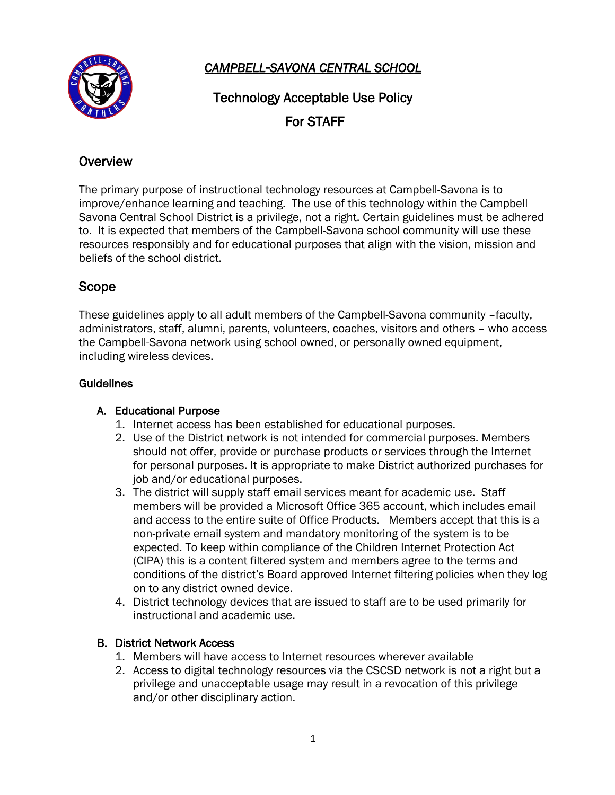

*CAMPBELL-SAVONA CENTRAL SCHOOL* 

Technology Acceptable Use Policy For STAFF

# **Overview**

The primary purpose of instructional technology resources at Campbell-Savona is to improve/enhance learning and teaching. The use of this technology within the Campbell Savona Central School District is a privilege, not a right. Certain guidelines must be adhered to. It is expected that members of the Campbell-Savona school community will use these resources responsibly and for educational purposes that align with the vision, mission and beliefs of the school district.

# Scope

These guidelines apply to all adult members of the Campbell-Savona community –faculty, administrators, staff, alumni, parents, volunteers, coaches, visitors and others – who access the Campbell-Savona network using school owned, or personally owned equipment, including wireless devices.

### **Guidelines**

### A. Educational Purpose

- 1. Internet access has been established for educational purposes.
- 2. Use of the District network is not intended for commercial purposes. Members should not offer, provide or purchase products or services through the Internet for personal purposes. It is appropriate to make District authorized purchases for job and/or educational purposes.
- 3. The district will supply staff email services meant for academic use. Staff members will be provided a Microsoft Office 365 account, which includes email and access to the entire suite of Office Products. Members accept that this is a non-private email system and mandatory monitoring of the system is to be expected. To keep within compliance of the Children Internet Protection Act (CIPA) this is a content filtered system and members agree to the terms and conditions of the district's Board approved Internet filtering policies when they log on to any district owned device.
- 4. District technology devices that are issued to staff are to be used primarily for instructional and academic use.

# B. District Network Access

- 1. Members will have access to Internet resources wherever available
- 2. Access to digital technology resources via the CSCSD network is not a right but a privilege and unacceptable usage may result in a revocation of this privilege and/or other disciplinary action.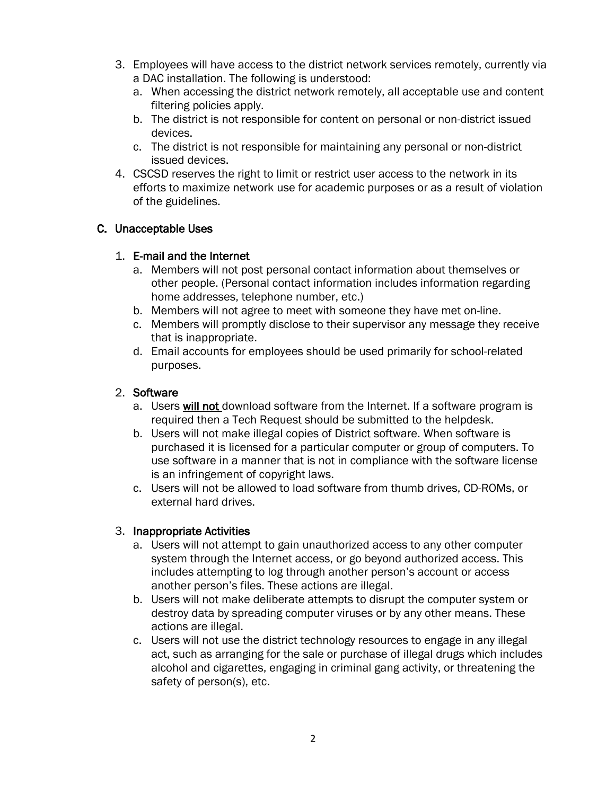- 3. Employees will have access to the district network services remotely, currently via a DAC installation. The following is understood:
	- a. When accessing the district network remotely, all acceptable use and content filtering policies apply.
	- b. The district is not responsible for content on personal or non-district issued devices.
	- c. The district is not responsible for maintaining any personal or non-district issued devices.
- 4. CSCSD reserves the right to limit or restrict user access to the network in its efforts to maximize network use for academic purposes or as a result of violation of the guidelines.

## C. Unacceptable Uses

## 1. E-mail and the Internet

- a. Members will not post personal contact information about themselves or other people. (Personal contact information includes information regarding home addresses, telephone number, etc.)
- b. Members will not agree to meet with someone they have met on-line.
- c. Members will promptly disclose to their supervisor any message they receive that is inappropriate.
- d. Email accounts for employees should be used primarily for school-related purposes.

## 2. Software

- a. Users will not download software from the Internet. If a software program is required then a Tech Request should be submitted to the helpdesk.
- b. Users will not make illegal copies of District software. When software is purchased it is licensed for a particular computer or group of computers. To use software in a manner that is not in compliance with the software license is an infringement of copyright laws.
- c. Users will not be allowed to load software from thumb drives, CD-ROMs, or external hard drives.

### 3. Inappropriate Activities

- a. Users will not attempt to gain unauthorized access to any other computer system through the Internet access, or go beyond authorized access. This includes attempting to log through another person's account or access another person's files. These actions are illegal.
- b. Users will not make deliberate attempts to disrupt the computer system or destroy data by spreading computer viruses or by any other means. These actions are illegal.
- c. Users will not use the district technology resources to engage in any illegal act, such as arranging for the sale or purchase of illegal drugs which includes alcohol and cigarettes, engaging in criminal gang activity, or threatening the safety of person(s), etc.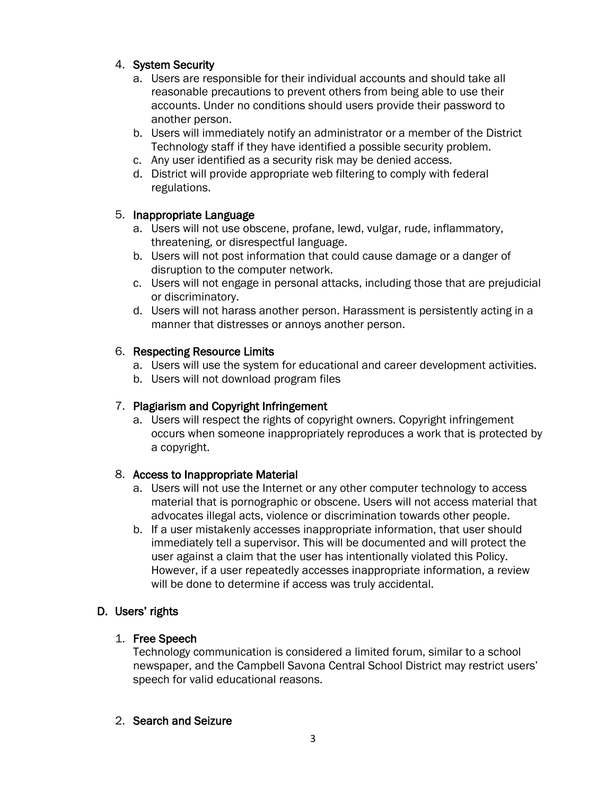# 4. System Security

- a. Users are responsible for their individual accounts and should take all reasonable precautions to prevent others from being able to use their accounts. Under no conditions should users provide their password to another person.
- b. Users will immediately notify an administrator or a member of the District Technology staff if they have identified a possible security problem.
- c. Any user identified as a security risk may be denied access.
- d. District will provide appropriate web filtering to comply with federal regulations.

## 5. Inappropriate Language

- a. Users will not use obscene, profane, lewd, vulgar, rude, inflammatory, threatening, or disrespectful language.
- b. Users will not post information that could cause damage or a danger of disruption to the computer network.
- c. Users will not engage in personal attacks, including those that are prejudicial or discriminatory.
- d. Users will not harass another person. Harassment is persistently acting in a manner that distresses or annoys another person.

## 6. Respecting Resource Limits

- a. Users will use the system for educational and career development activities.
- b. Users will not download program files

# 7. Plagiarism and Copyright Infringement

a. Users will respect the rights of copyright owners. Copyright infringement occurs when someone inappropriately reproduces a work that is protected by a copyright.

### 8. Access to Inappropriate Material

- a. Users will not use the Internet or any other computer technology to access material that is pornographic or obscene. Users will not access material that advocates illegal acts, violence or discrimination towards other people.
- b. If a user mistakenly accesses inappropriate information, that user should immediately tell a supervisor. This will be documented and will protect the user against a claim that the user has intentionally violated this Policy. However, if a user repeatedly accesses inappropriate information, a review will be done to determine if access was truly accidental.

# D. Users' rights

# 1. Free Speech

Technology communication is considered a limited forum, similar to a school newspaper, and the Campbell Savona Central School District may restrict users' speech for valid educational reasons.

### 2. Search and Seizure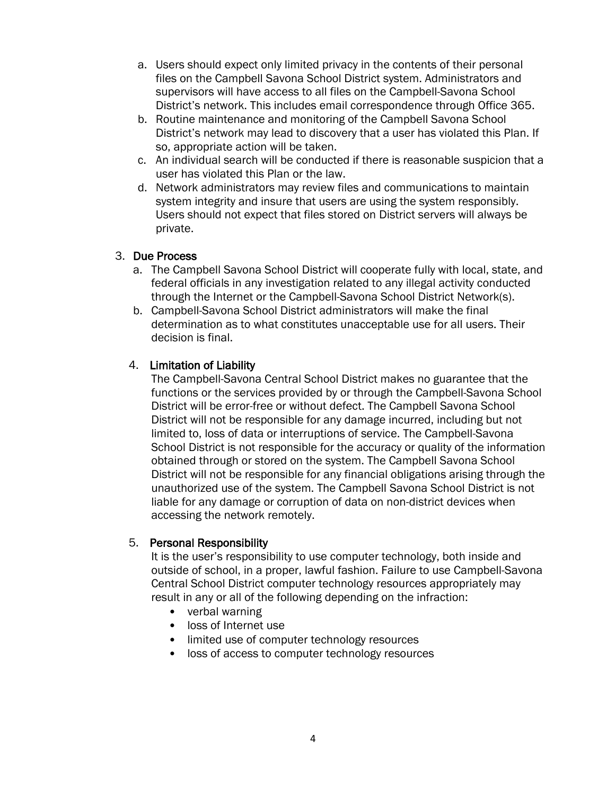- a. Users should expect only limited privacy in the contents of their personal files on the Campbell Savona School District system. Administrators and supervisors will have access to all files on the Campbell-Savona School District's network. This includes email correspondence through Office 365.
- b. Routine maintenance and monitoring of the Campbell Savona School District's network may lead to discovery that a user has violated this Plan. If so, appropriate action will be taken.
- c. An individual search will be conducted if there is reasonable suspicion that a user has violated this Plan or the law.
- d. Network administrators may review files and communications to maintain system integrity and insure that users are using the system responsibly. Users should not expect that files stored on District servers will always be private.

### 3. Due Process

- a. The Campbell Savona School District will cooperate fully with local, state, and federal officials in any investigation related to any illegal activity conducted through the Internet or the Campbell-Savona School District Network(s).
- b. Campbell-Savona School District administrators will make the final determination as to what constitutes unacceptable use for all users. Their decision is final.

#### 4. Limitation of Liability

The Campbell-Savona Central School District makes no guarantee that the functions or the services provided by or through the Campbell-Savona School District will be error-free or without defect. The Campbell Savona School District will not be responsible for any damage incurred, including but not limited to, loss of data or interruptions of service. The Campbell-Savona School District is not responsible for the accuracy or quality of the information obtained through or stored on the system. The Campbell Savona School District will not be responsible for any financial obligations arising through the unauthorized use of the system. The Campbell Savona School District is not liable for any damage or corruption of data on non-district devices when accessing the network remotely.

#### 5. Personal Responsibility

It is the user's responsibility to use computer technology, both inside and outside of school, in a proper, lawful fashion. Failure to use Campbell-Savona Central School District computer technology resources appropriately may result in any or all of the following depending on the infraction:

- verbal warning
- loss of Internet use
- limited use of computer technology resources
- loss of access to computer technology resources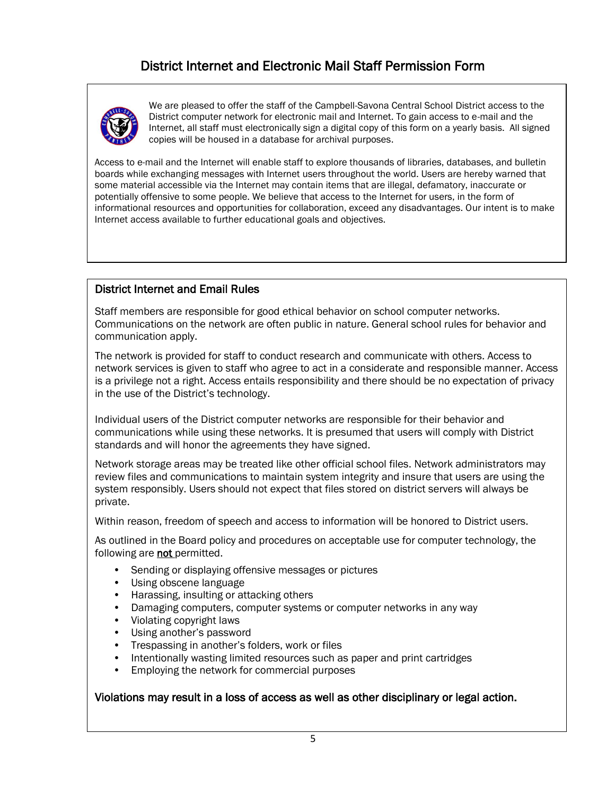# District Internet and Electronic Mail Staff Permission Form



We are pleased to offer the staff of the Campbell-Savona Central School District access to the District computer network for electronic mail and Internet. To gain access to e-mail and the Internet, all staff must electronically sign a digital copy of this form on a yearly basis. All signed copies will be housed in a database for archival purposes.

Access to e-mail and the Internet will enable staff to explore thousands of libraries, databases, and bulletin boards while exchanging messages with Internet users throughout the world. Users are hereby warned that some material accessible via the Internet may contain items that are illegal, defamatory, inaccurate or potentially offensive to some people. We believe that access to the Internet for users, in the form of informational resources and opportunities for collaboration, exceed any disadvantages. Our intent is to make Internet access available to further educational goals and objectives.

#### District Internet and Email Rules

Staff members are responsible for good ethical behavior on school computer networks. Communications on the network are often public in nature. General school rules for behavior and communication apply.

The network is provided for staff to conduct research and communicate with others. Access to network services is given to staff who agree to act in a considerate and responsible manner. Access is a privilege not a right. Access entails responsibility and there should be no expectation of privacy in the use of the District's technology.

Individual users of the District computer networks are responsible for their behavior and communications while using these networks. It is presumed that users will comply with District standards and will honor the agreements they have signed.

Network storage areas may be treated like other official school files. Network administrators may review files and communications to maintain system integrity and insure that users are using the system responsibly. Users should not expect that files stored on district servers will always be private.

Within reason, freedom of speech and access to information will be honored to District users.

As outlined in the Board policy and procedures on acceptable use for computer technology, the following are not permitted.

- Sending or displaying offensive messages or pictures
- Using obscene language
- Harassing, insulting or attacking others
- Damaging computers, computer systems or computer networks in any way
- Violating copyright laws
- Using another's password
- Trespassing in another's folders, work or files
- Intentionally wasting limited resources such as paper and print cartridges
- Employing the network for commercial purposes

Violations may result in a loss of access as well as other disciplinary or legal action.